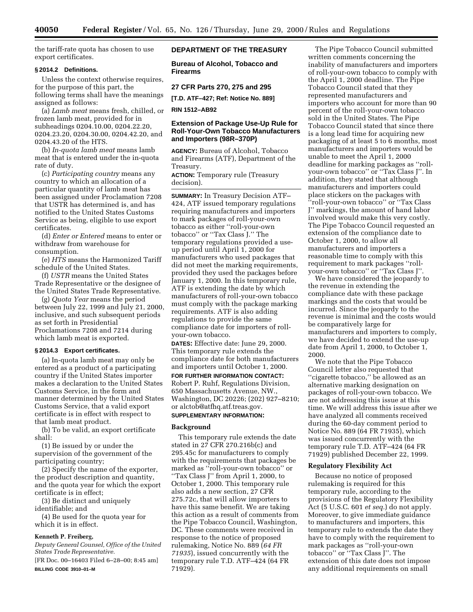the tariff-rate quota has chosen to use export certificates.

# **§ 2014.2 Definitions.**

Unless the context otherwise requires, for the purpose of this part, the following terms shall have the meanings assigned as follows:

(a) *Lamb meat* means fresh, chilled, or frozen lamb meat, provided for in subheadings 0204.10.00, 0204.22.20, 0204.23.20, 0204.30.00, 0204.42.20, and 0204.43.20 of the HTS.

(b) *In-quota lamb meat* means lamb meat that is entered under the in-quota rate of duty.

(c) *Participating country* means any country to which an allocation of a particular quantity of lamb meat has been assigned under Proclamation 7208 that USTR has determined is, and has notified to the United States Customs Service as being, eligible to use export certificates.

(d) *Enter or Entered* means to enter or withdraw from warehouse for consumption.

(e) *HTS* means the Harmonized Tariff schedule of the United States.

(f) *USTR* means the United States Trade Representative or the designee of the United States Trade Representative.

(g) *Quota Year* means the period between July 22, 1999 and July 21, 2000, inclusive, and such subsequent periods as set forth in Presidential Proclamations 7208 and 7214 during which lamb meat is exported.

#### **§ 2014.3 Export certificates.**

(a) In-quota lamb meat may only be entered as a product of a participating country if the United States importer makes a declaration to the United States Customs Service, in the form and manner determined by the United States Customs Service, that a valid export certificate is in effect with respect to that lamb meat product.

(b) To be valid, an export certificate shall:

(1) Be issued by or under the supervision of the government of the participating country;

(2) Specify the name of the exporter, the product description and quantity, and the quota year for which the export certificate is in effect;

(3) Be distinct and uniquely identifiable; and

(4) Be used for the quota year for which it is in effect.

# **Kenneth P. Freiberg,**

*Deputy General Counsel, Office of the United States Trade Representative.*

[FR Doc. 00–16403 Filed 6–28–00; 8:45 am] **BILLING CODE 3910–01–M**

# **DEPARTMENT OF THE TREASURY**

**Bureau of Alcohol, Tobacco and Firearms**

# **27 CFR Parts 270, 275 and 295**

**[T.D. ATF–427; Ref: Notice No. 889]**

**RIN 1512–AB92**

# **Extension of Package Use-Up Rule for Roll-Your-Own Tobacco Manufacturers and Importers (98R–370P)**

**AGENCY:** Bureau of Alcohol, Tobacco and Firearms (ATF), Department of the Treasury.

**ACTION:** Temporary rule (Treasury decision).

**SUMMARY:** In Treasury Decision ATF– 424, ATF issued temporary regulations requiring manufacturers and importers to mark packages of roll-your-own tobacco as either ''roll-your-own tobacco'' or ''Tax Class J.'' The temporary regulations provided a useup period until April 1, 2000 for manufacturers who used packages that did not meet the marking requirements, provided they used the packages before January 1, 2000. In this temporary rule, ATF is extending the date by which manufacturers of roll-your-own tobacco must comply with the package marking requirements. ATF is also adding regulations to provide the same compliance date for importers of rollyour-own tobacco.

**DATES:** Effective date: June 29, 2000. This temporary rule extends the compliance date for both manufacturers and importers until October 1, 2000.

**FOR FURTHER INFORMATION CONTACT:** Robert P. Ruhf, Regulations Division, 650 Massachusetts Avenue, NW., Washington, DC 20226; (202) 927–8210; or alctob@atfhq.atf.treas.gov.

# **SUPPLEMENTARY INFORMATION:**

## **Background**

This temporary rule extends the date stated in 27 CFR 270.216b(c) and 295.45c for manufacturers to comply with the requirements that packages be marked as ''roll-your-own tobacco'' or ''Tax Class J'' from April 1, 2000, to October 1, 2000. This temporary rule also adds a new section, 27 CFR 275.72c, that will allow importers to have this same benefit. We are taking this action as a result of comments from the Pipe Tobacco Council, Washington, DC. These comments were received in response to the notice of proposed rulemaking, Notice No. 889 (*64 FR 71935*), issued concurrently with the temporary rule T.D. ATF–424 (64 FR 71929).

The Pipe Tobacco Council submitted written comments concerning the inability of manufacturers and importers of roll-your-own tobacco to comply with the April 1, 2000 deadline. The Pipe Tobacco Council stated that they represented manufacturers and importers who account for more than 90 percent of the roll-your-own tobacco sold in the United States. The Pipe Tobacco Council stated that since there is a long lead time for acquiring new packaging of at least 5 to 6 months, most manufacturers and importers would be unable to meet the April 1, 2000 deadline for marking packages as ''rollyour-own tobacco'' or ''Tax Class J''. In addition, they stated that although manufacturers and importers could place stickers on the packages with ''roll-your-own tobacco'' or ''Tax Class J'' markings, the amount of hand labor involved would make this very costly. The Pipe Tobacco Council requested an extension of the compliance date to October 1, 2000, to allow all manufacturers and importers a reasonable time to comply with this requirement to mark packages ''rollyour-own tobacco'' or ''Tax Class J''.

We have considered the jeopardy to the revenue in extending the compliance date with these package markings and the costs that would be incurred. Since the jeopardy to the revenue is minimal and the costs would be comparatively large for manufacturers and importers to comply, we have decided to extend the use-up date from April 1, 2000, to October 1, 2000.

We note that the Pipe Tobacco Council letter also requested that ''cigarette tobacco,'' be allowed as an alternative marking designation on packages of roll-your-own tobacco. We are not addressing this issue at this time. We will address this issue after we have analyzed all comments received during the 60-day comment period to Notice No. 889 (64 FR 71935), which was issued concurrently with the temporary rule T.D. ATF–424 (64 FR 71929) published December 22, 1999.

## **Regulatory Flexibility Act**

Because no notice of proposed rulemaking is required for this temporary rule, according to the provisions of the Regulatory Flexibility Act (5 U.S.C. 601 *et seq.*) do not apply. Moreover, to give immediate guidance to manufacturers and importers, this temporary rule to extends the date they have to comply with the requirement to mark packages as ''roll-your-own tobacco'' or ''Tax Class J''. The extension of this date does not impose any additional requirements on small